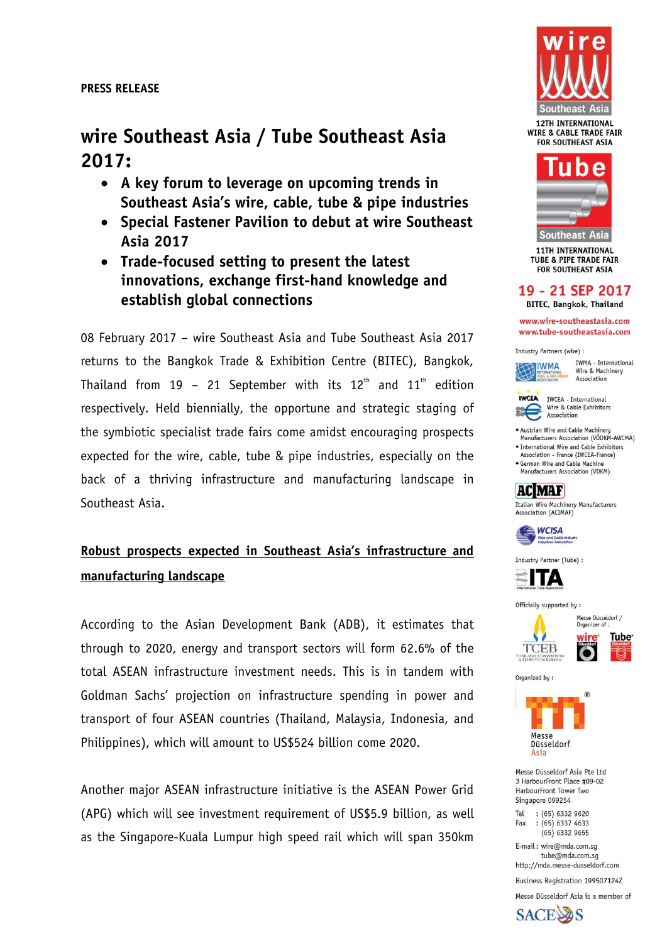# **wire Southeast Asia / Tube Southeast Asia 2017:**

- **A key forum to leverage on upcoming trends in Southeast Asia's wire, cable, tube & pipe industries**
- **Special Fastener Pavilion to debut at wire Southeast Asia 2017**
- **Trade-focused setting to present the latest innovations, exchange first-hand knowledge and establish global connections**

08 February 2017 – wire Southeast Asia and Tube Southeast Asia 2017 returns to the Bangkok Trade & Exhibition Centre (BITEC), Bangkok, Thailand from 19 - 21 September with its  $12<sup>th</sup>$  and  $11<sup>th</sup>$  edition respectively. Held biennially, the opportune and strategic staging of the symbiotic specialist trade fairs come amidst encouraging prospects expected for the wire, cable, tube & pipe industries, especially on the back of a thriving infrastructure and manufacturing landscape in Southeast Asia.

# **Robust prospects expected in Southeast Asia's infrastructure and manufacturing landscape**

According to the Asian Development Bank (ADB), it estimates that through to 2020, energy and transport sectors will form 62.6% of the total ASEAN infrastructure investment needs. This is in tandem with Goldman Sachs' projection on infrastructure spending in power and transport of four ASEAN countries (Thailand, Malaysia, Indonesia, and Philippines), which will amount to US\$524 billion come 2020.

Another major ASEAN infrastructure initiative is the ASEAN Power Grid (APG) which will see investment requirement of US\$5.9 billion, as well as the Singapore-Kuala Lumpur high speed rail which will span 350km





**11TH INTERNATIONAL** TURF & PIPF TRADE FAIR FOR SOUTHEAST ASIA

# 19 - 21 SEP 2017

**BITEC, Bangkok, Thailand** 

www.wire-southeastasia.com www.tube-southeastasia.com

Industry Partners (wire) :



IWMA - International Wire & Machinery Association



Wire & Cable Exhibitors Association

. Austrian Wire and Cable Machinen Austrian wife and cable Machinery<br>Manufacturers Association (VÖDKM-AWCMA) . International Wire and Cable Exhibitors

Association - France (TWCFA-France) · German Wire and Cable Machine



Italian Wire Machinery Manufacturers Association (ACIMAF)



Industry Partner (Tube) :







THAILAND CONVENTIC Organized by:

**TCEB** 



Messe Diisseldorf Asia Pte Ltd 3 HarbourFront Place #09-02 HarbourFront Tower Two Singapore 099254

 $I = T$  $:(65) 6332 9620$  $:(65) 6337 4633$ Fax  $(65)$  6332 9655

E-mail: wire@mda.com.sg tube@mda.com.sq http://mda.messe-dusseldorf.com

Business Registration 199507124Z

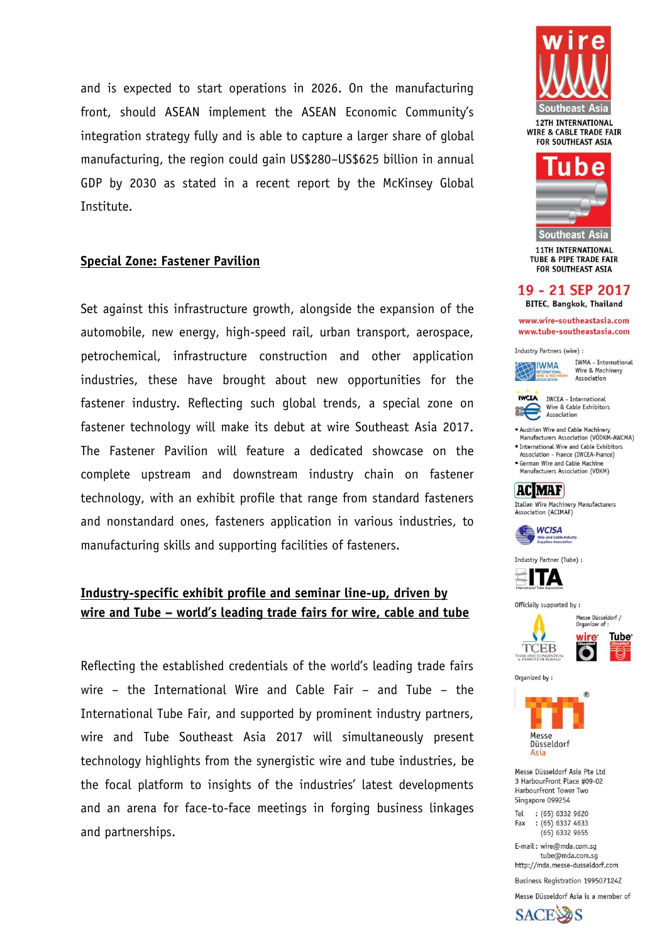and is expected to start operations in 2026. On the manufacturing front, should ASEAN implement the ASEAN Economic Community's integration strategy fully and is able to capture a larger share of global manufacturing, the region could gain US\$280-US\$625 billion in annual GDP by 2030 as stated in a recent report by the McKinsey Global Institute.

#### **Special Zone: Fastener Pavilion**

Set against this infrastructure growth, alongside the expansion of the automobile, new energy, high-speed rail, urban transport, aerospace, petrochemical, infrastructure construction and other application industries, these have brought about new opportunities for the fastener industry. Reflecting such global trends, a special zone on fastener technology will make its debut at wire Southeast Asia 2017. The Fastener Pavilion will feature a dedicated showcase on the complete upstream and downstream industry chain on fastener technology, with an exhibit profile that range from standard fasteners and nonstandard ones, fasteners application in various industries, to manufacturing skills and supporting facilities of fasteners.

## Industry-specific exhibit profile and seminar line-up, driven by wire and Tube – world's leading trade fairs for wire, cable and tube

Reflecting the established credentials of the world's leading trade fairs wire - the International Wire and Cable Fair - and Tube - the International Tube Fair, and supported by prominent industry partners, wire and Tube Southeast Asia 2017 will simultaneously present technology highlights from the synergistic wire and tube industries, be the focal platform to insights of the industries' latest developments and an arena for face-to-face meetings in forging business linkages and partnerships.





**11TH INTERNATIONAL TURF & PIPF TRADE FAIR FOR SOUTHEAST ASIA** 

### 19 - 21 SEP 2017

**BITEC, Bangkok, Thailand** 

www.wire-southeastasia.com www.tube-southeastasia.com

Industry Partners (wire) :



IWMA - International Wire & Machinery Association



Wire & Cable Exhibitors

• Austrian Wire and Cable Machinery<br>Manufacturers Association (VÖDKM-AWCMA) · International Wire and Cable Exhibitors

Association - France (IWCEA-France) · German Wire and Cable Machine





Italian Wire Machinery Manufacturers Association (ACIMAF)



Industry Partner (Tube) :



Officially supported by : Messe Düsseldorf /



Omanizer of : Tube<sup>®</sup> wire<sup>.</sup>

Organized by:



Messe Diisseldorf Asia Pte Ltd 3 HarbourFront Place #09-02 HarbourFront Tower Two Singapore 099254

Tel  $:(65) 6332 9620$  $:(65) 6337 4633$ Fax  $(65)$  6332 9655

E-mail: wire@mda.com.sg tube@mda.com.sg http://mda.messe-dusseldorf.com

Business Registration 199507124Z

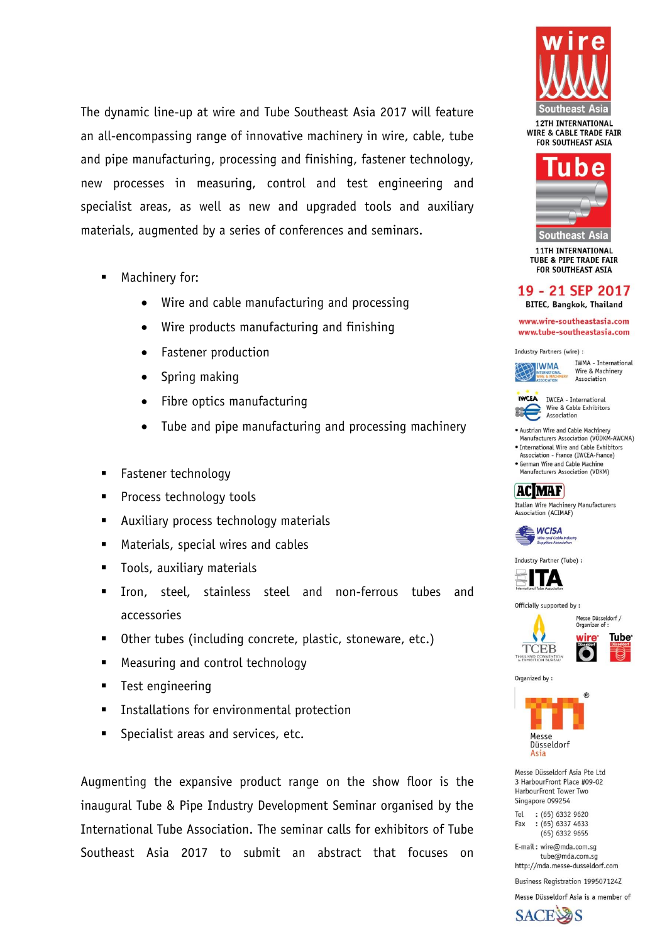The dynamic line-up at wire and Tube Southeast Asia 2017 will feature an all-encompassing range of innovative machinery in wire, cable, tube and pipe manufacturing, processing and finishing, fastener technology, new processes in measuring, control and test engineering and specialist areas, as well as new and upgraded tools and auxiliary materials, augmented by a series of conferences and seminars.

- Machinery for:
	- Wire and cable manufacturing and processing
	- Wire products manufacturing and finishing
	- Fastener production
	- Spring making
	- Fibre optics manufacturing
	- Tube and pipe manufacturing and processing machinery
- **Fastener technology**
- **Process technology tools**
- **Auxiliary process technology materials**
- Materials, special wires and cables
- **Tools, auxiliary materials**
- Iron, steel, stainless steel and non-ferrous tubes and accessories
- Other tubes (including concrete, plastic, stoneware, etc.)
- **EXECUTE:** Measuring and control technology
- **Test engineering**
- **EXECUTE:** Installations for environmental protection
- Specialist areas and services, etc.

Augmenting the expansive product range on the show floor is the inaugural Tube & Pipe Industry Development Seminar organised by the International Tube Association. The seminar calls for exhibitors of Tube Southeast Asia 2017 to submit an abstract that focuses on





11TH INTERNATIONAL **TUBE & PIPE TRADE FAIR** FOR SOUTHEAST ASIA

# 19 - 21 SEP 2017

**BITEC, Bangkok, Thailand** 

www.wire-southeastasia.com www.tube-southeastasia.com

Industry Partners (wire) :

IWMA - International **NIWMA** Wire & Machinery Association



Wire & Cable Exhibitors

- Austrian Wire and Cable Machinery<br>Manufacturers Association (VÖDKM-AWCMA) · International Wire and Cable Exhibitors
- Association France (IWCEA-France) German Wire and Cable Machine
- Manufacturers Association (VDKM)

# **ACMAF**

Italian Wire Machinery Manufacturers<br>Association (ACIMAF)



Industry Partner (Tube) :



Officially supported by:





Organized by:



Messe Düsseldorf Asia Pte Ltd 3 HarbourFront Place #09-02 HarbourFront Tower Two Singapore 099254

Tel : (65) 6332 9620  $:(65) 6337 4633$ Fax  $(65) 6332 9655$ 

E-mail: wire@mda.com.sq tube@mda.com.sq http://mda.messe-dusseldorf.com

Business Registration 199507124Z

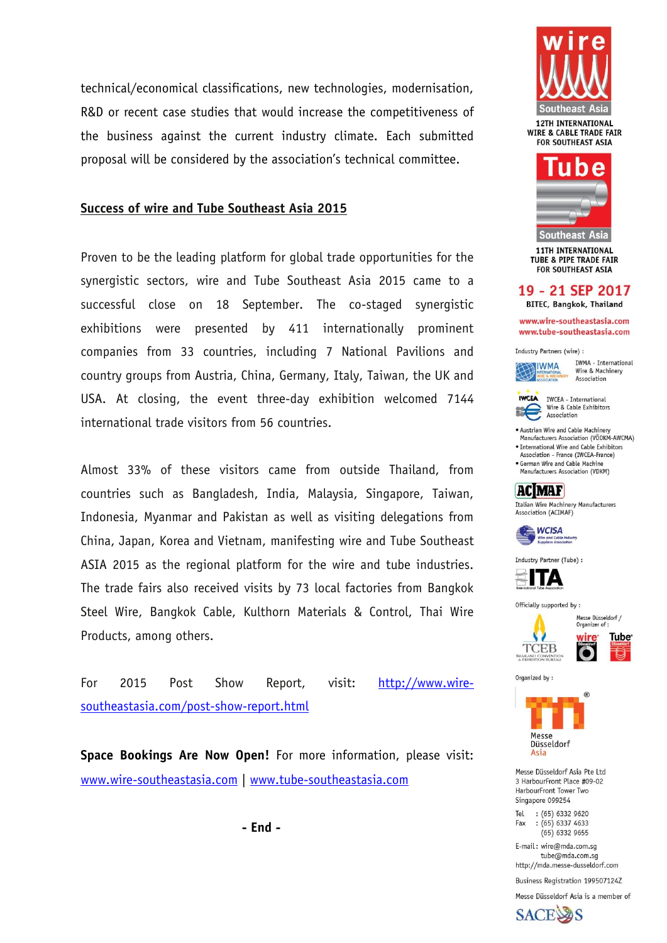technical/economical classifications, new technologies, modernisation, R&D or recent case studies that would increase the competitiveness of the business against the current industry climate. Each submitted proposal will be considered by the association's technical committee.

#### **Success of wire and Tube Southeast Asia 2015**

Proven to be the leading platform for global trade opportunities for the synergistic sectors, wire and Tube Southeast Asia 2015 came to a successful close on 18 September. The co-staged synergistic exhibitions were presented by 411 internationally prominent companies from 33 countries, including 7 National Pavilions and country groups from Austria, China, Germany, Italy, Taiwan, the UK and USA. At closing, the event three-day exhibition welcomed 7144 international trade visitors from 56 countries.

Almost 33% of these visitors came from outside Thailand, from countries such as Bangladesh, India, Malaysia, Singapore, Taiwan, Indonesia, Myanmar and Pakistan as well as visiting delegations from China, Japan, Korea and Vietnam, manifesting wire and Tube Southeast ASIA 2015 as the regional platform for the wire and tube industries. The trade fairs also received visits by 73 local factories from Bangkok Steel Wire, Bangkok Cable, Kulthorn Materials & Control, Thai Wire Products, among others.

For 2015 Post Show Report, visit: [http://www.wire](http://www.wire-southeastasia.com/post-show-report.html)[southeastasia.com/post-show-report.html](http://www.wire-southeastasia.com/post-show-report.html)

**Space Bookings Are Now Open!** For more information, please visit: [www.wire-southeastasia.com](http://www.wire-southeastasia.com/) | [www.tube-southeastasia.com](http://www.tube-southeastasia.com/)





**11TH INTERNATIONAL** TURF & PIPF TRADE FAIR **FOR SOUTHEAST ASIA** 

# 19 - 21 SEP 2017

**BITEC, Bangkok, Thailand** 

www.wire-southeastasia.com www.tube-southeastasia.com

Industry Partners (wire) :



IWMA - International Wire & Machinery Association



**IWCEA - International** Wire & Cable Exhibitors

• Austrian Wire and Cable Machinery<br>Manufacturers Association (VÖDKM-AWCMA) · International Wire and Cable Exhibitors

Association - France (IWCEA-France) · German Wire and Cable Machine

Manufacturers Association (VDKM)



Italian Wire Machinery Manufacturers Association (ACIMAF)



Industry Partner (Tube) : IТА







Organized by:



Messe Düsseldorf Asia Pte Ltd 3 HarbourFront Place #09-02 HarbourFront Tower Two Singapore 099254

Tel  $:(65) 6332 9620$  $:(65)$  6337 4633 Fax  $(65)$  6332 9655

E-mail: wire@mda.com.sq tube@mda.com.sq http://mda.messe-dusseldorf.com

Business Registration 199507124Z

Messe Düsseldorf Asia is a member of



**- End -**